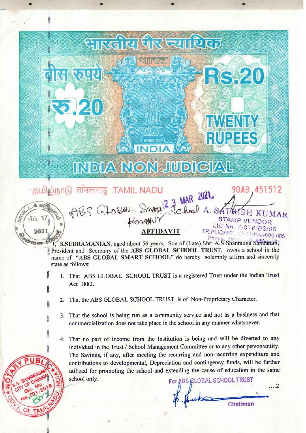## सारखोरा जिल्लामा प्रान्थ डीस रज्यर **RS-20**  $2.20$ **TWENTY RUPEES** सत्यमेव जयते **INDIA NON JUDICIAL** 90AB 451512 தமிழ்நாடு <del>तमिलना</del>डु B THETTE TAMIL NADU<br>THES GLOBOL Smort 3 Chool A. S **TAMIL NADU**

 $\cdot$  ): The set of the set of the set of the set of the set of the set of the set of the set of the set of the set of

19ň 2021  $n_{\text{SDGST}}$   $6$ <sup>{</sup>

E

H

a

H

E

Phon I, S.SUBRAMANIAN, aged about 56 years, Son of (Late) Shri A.S Shanmuga Sundania; President and Secretary of the ABS GLOBAL SCHOOL TRUST, owns a school in the name of "ABS GLOBAL SMART SCHOOL" do hereby solemnly affirm and sincerely state as follows:

JMAR

**NNAI-600 005** 

...2

Chairman

7/876/83/96

STAMP<sub>V</sub>

LIC No.

TRIPLICANE

- 1. That ABS GLOBAL SCHOOL TRUST is a registered Trust under the Indian Trust Act 1882.
- 2. That the ABS GLOBAL SCHOOL TRUST is of Non-Proprietary Character.
- 3. That the school is being run as a community service and not as a business and that commercialization does not take place in the school in any manner whatsoever.

4. That no part of income from the Institution is being and will be diverted to any individual in the Trust / School Management Committee or to any other person/entity. The Savings, if any, after meeting the recurring and non-recurring expenditure and contributions to developmental, Depreciation and contingency funds, will be further utilized for promoting the school and extending the cause of education in the same School only. For ABS GLOBAL SCHOOL TRUST